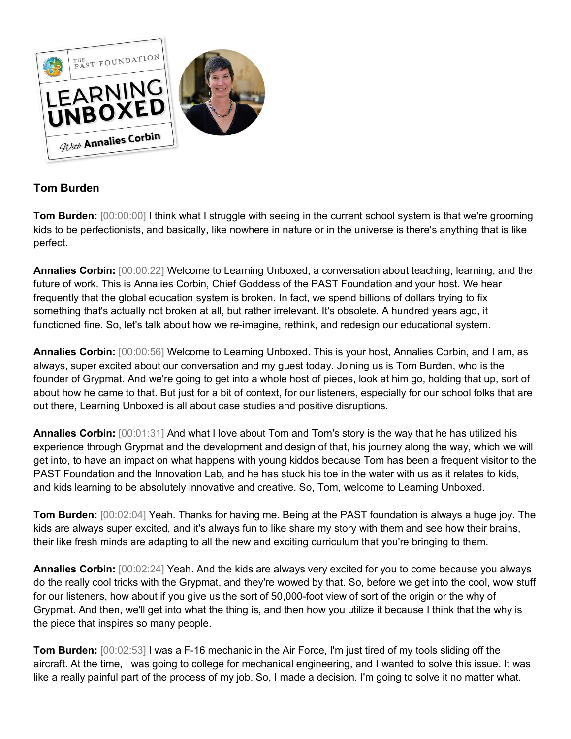

## **Tom Burden**

**Tom Burden:**  $[00:00:00]$  I think what I struggle with seeing in the current school system is that we're grooming kids to be perfectionists, and basically, like nowhere in nature or in the universe is there's anything that is like perfect.

**Annalies Corbin:** [00:00:22] Welcome to Learning Unboxed, a conversation about teaching, learning, and the future of work. This is Annalies Corbin, Chief Goddess of the PAST Foundation and your host. We hear frequently that the global education system is broken. In fact, we spend billions of dollars trying to fix something that's actually not broken at all, but rather irrelevant. It's obsolete. A hundred years ago, it functioned fine. So, let's talk about how we re-imagine, rethink, and redesign our educational system.

**Annalies Corbin:** [00:00:56] Welcome to Learning Unboxed. This is your host, Annalies Corbin, and I am, as always, super excited about our conversation and my guest today. Joining us is Tom Burden, who is the founder of Grypmat. And we're going to get into a whole host of pieces, look at him go, holding that up, sort of about how he came to that. But just for a bit of context, for our listeners, especially for our school folks that are out there, Learning Unboxed is all about case studies and positive disruptions.

**Annalies Corbin:** [00:01:31] And what I love about Tom and Tom's story is the way that he has utilized his experience through Grypmat and the development and design of that, his journey along the way, which we will get into, to have an impact on what happens with young kiddos because Tom has been a frequent visitor to the PAST Foundation and the Innovation Lab, and he has stuck his toe in the water with us as it relates to kids, and kids learning to be absolutely innovative and creative. So, Tom, welcome to Learning Unboxed.

**Tom Burden:** [00:02:04] Yeah. Thanks for having me. Being at the PAST foundation is always a huge joy. The kids are always super excited, and it's always fun to like share my story with them and see how their brains, their like fresh minds are adapting to all the new and exciting curriculum that you're bringing to them.

**Annalies Corbin:** [00:02:24] Yeah. And the kids are always very excited for you to come because you always do the really cool tricks with the Grypmat, and they're wowed by that. So, before we get into the cool, wow stuff for our listeners, how about if you give us the sort of 50,000-foot view of sort of the origin or the why of Grypmat. And then, we'll get into what the thing is, and then how you utilize it because I think that the why is the piece that inspires so many people.

**Tom Burden:** [00:02:53] I was a F-16 mechanic in the Air Force, I'm just tired of my tools sliding off the aircraft. At the time, I was going to college for mechanical engineering, and I wanted to solve this issue. It was like a really painful part of the process of my job. So, I made a decision. I'm going to solve it no matter what.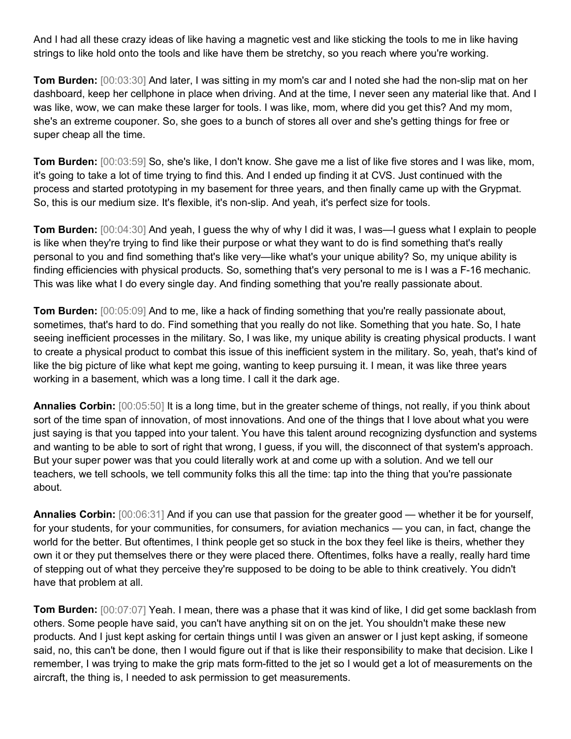And I had all these crazy ideas of like having a magnetic vest and like sticking the tools to me in like having strings to like hold onto the tools and like have them be stretchy, so you reach where you're working.

**Tom Burden:** [00:03:30] And later, I was sitting in my mom's car and I noted she had the non-slip mat on her dashboard, keep her cellphone in place when driving. And at the time, I never seen any material like that. And I was like, wow, we can make these larger for tools. I was like, mom, where did you get this? And my mom, she's an extreme couponer. So, she goes to a bunch of stores all over and she's getting things for free or super cheap all the time.

**Tom Burden:** [00:03:59] So, she's like, I don't know. She gave me a list of like five stores and I was like, mom, it's going to take a lot of time trying to find this. And I ended up finding it at CVS. Just continued with the process and started prototyping in my basement for three years, and then finally came up with the Grypmat. So, this is our medium size. It's flexible, it's non-slip. And yeah, it's perfect size for tools.

**Tom Burden:** [00:04:30] And yeah, I guess the why of why I did it was, I was—I guess what I explain to people is like when they're trying to find like their purpose or what they want to do is find something that's really personal to you and find something that's like very—like what's your unique ability? So, my unique ability is finding efficiencies with physical products. So, something that's very personal to me is I was a F-16 mechanic. This was like what I do every single day. And finding something that you're really passionate about.

**Tom Burden:** [00:05:09] And to me, like a hack of finding something that you're really passionate about, sometimes, that's hard to do. Find something that you really do not like. Something that you hate. So, I hate seeing inefficient processes in the military. So, I was like, my unique ability is creating physical products. I want to create a physical product to combat this issue of this inefficient system in the military. So, yeah, that's kind of like the big picture of like what kept me going, wanting to keep pursuing it. I mean, it was like three years working in a basement, which was a long time. I call it the dark age.

**Annalies Corbin:** [00:05:50] It is a long time, but in the greater scheme of things, not really, if you think about sort of the time span of innovation, of most innovations. And one of the things that I love about what you were just saying is that you tapped into your talent. You have this talent around recognizing dysfunction and systems and wanting to be able to sort of right that wrong, I guess, if you will, the disconnect of that system's approach. But your super power was that you could literally work at and come up with a solution. And we tell our teachers, we tell schools, we tell community folks this all the time: tap into the thing that you're passionate about.

**Annalies Corbin:** [00:06:31] And if you can use that passion for the greater good — whether it be for yourself, for your students, for your communities, for consumers, for aviation mechanics — you can, in fact, change the world for the better. But oftentimes, I think people get so stuck in the box they feel like is theirs, whether they own it or they put themselves there or they were placed there. Oftentimes, folks have a really, really hard time of stepping out of what they perceive they're supposed to be doing to be able to think creatively. You didn't have that problem at all.

**Tom Burden:** [00:07:07] Yeah. I mean, there was a phase that it was kind of like, I did get some backlash from others. Some people have said, you can't have anything sit on on the jet. You shouldn't make these new products. And I just kept asking for certain things until I was given an answer or I just kept asking, if someone said, no, this can't be done, then I would figure out if that is like their responsibility to make that decision. Like I remember, I was trying to make the grip mats form-fitted to the jet so I would get a lot of measurements on the aircraft, the thing is, I needed to ask permission to get measurements.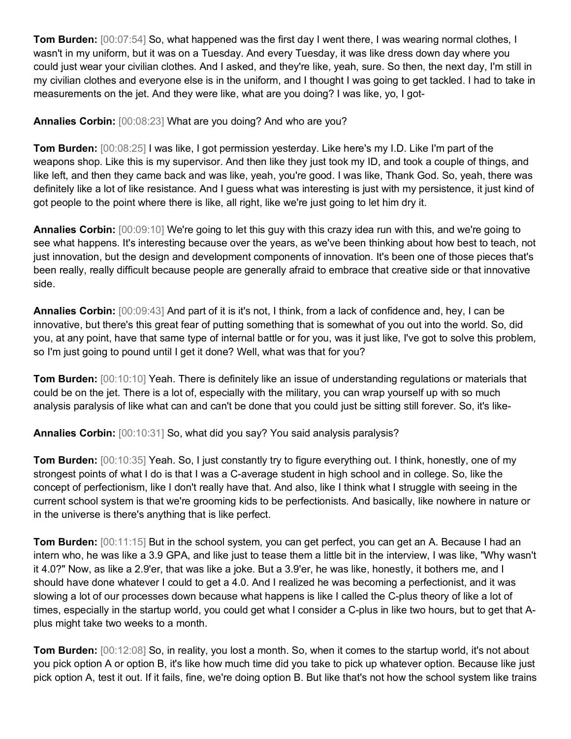**Tom Burden:** [00:07:54] So, what happened was the first day I went there, I was wearing normal clothes, I wasn't in my uniform, but it was on a Tuesday. And every Tuesday, it was like dress down day where you could just wear your civilian clothes. And I asked, and they're like, yeah, sure. So then, the next day, I'm still in my civilian clothes and everyone else is in the uniform, and I thought I was going to get tackled. I had to take in measurements on the jet. And they were like, what are you doing? I was like, yo, I got-

## **Annalies Corbin:** [00:08:23] What are you doing? And who are you?

**Tom Burden:** [00:08:25] I was like, I got permission yesterday. Like here's my I.D. Like I'm part of the weapons shop. Like this is my supervisor. And then like they just took my ID, and took a couple of things, and like left, and then they came back and was like, yeah, you're good. I was like, Thank God. So, yeah, there was definitely like a lot of like resistance. And I guess what was interesting is just with my persistence, it just kind of got people to the point where there is like, all right, like we're just going to let him dry it.

**Annalies Corbin:** [00:09:10] We're going to let this guy with this crazy idea run with this, and we're going to see what happens. It's interesting because over the years, as we've been thinking about how best to teach, not just innovation, but the design and development components of innovation. It's been one of those pieces that's been really, really difficult because people are generally afraid to embrace that creative side or that innovative side.

**Annalies Corbin:** [00:09:43] And part of it is it's not, I think, from a lack of confidence and, hey, I can be innovative, but there's this great fear of putting something that is somewhat of you out into the world. So, did you, at any point, have that same type of internal battle or for you, was it just like, I've got to solve this problem, so I'm just going to pound until I get it done? Well, what was that for you?

**Tom Burden:** [00:10:10] Yeah. There is definitely like an issue of understanding regulations or materials that could be on the jet. There is a lot of, especially with the military, you can wrap yourself up with so much analysis paralysis of like what can and can't be done that you could just be sitting still forever. So, it's like-

**Annalies Corbin:** [00:10:31] So, what did you say? You said analysis paralysis?

**Tom Burden:** [00:10:35] Yeah. So, I just constantly try to figure everything out. I think, honestly, one of my strongest points of what I do is that I was a C-average student in high school and in college. So, like the concept of perfectionism, like I don't really have that. And also, like I think what I struggle with seeing in the current school system is that we're grooming kids to be perfectionists. And basically, like nowhere in nature or in the universe is there's anything that is like perfect.

**Tom Burden:** [00:11:15] But in the school system, you can get perfect, you can get an A. Because I had an intern who, he was like a 3.9 GPA, and like just to tease them a little bit in the interview, I was like, "Why wasn't it 4.0?" Now, as like a 2.9'er, that was like a joke. But a 3.9'er, he was like, honestly, it bothers me, and I should have done whatever I could to get a 4.0. And I realized he was becoming a perfectionist, and it was slowing a lot of our processes down because what happens is like I called the C-plus theory of like a lot of times, especially in the startup world, you could get what I consider a C-plus in like two hours, but to get that Aplus might take two weeks to a month.

**Tom Burden:** [00:12:08] So, in reality, you lost a month. So, when it comes to the startup world, it's not about you pick option A or option B, it's like how much time did you take to pick up whatever option. Because like just pick option A, test it out. If it fails, fine, we're doing option B. But like that's not how the school system like trains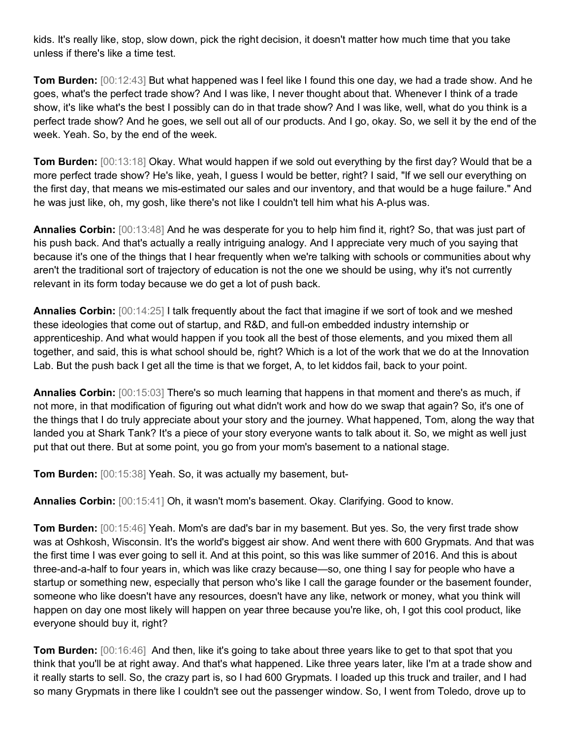kids. It's really like, stop, slow down, pick the right decision, it doesn't matter how much time that you take unless if there's like a time test.

**Tom Burden:** [00:12:43] But what happened was I feel like I found this one day, we had a trade show. And he goes, what's the perfect trade show? And I was like, I never thought about that. Whenever I think of a trade show, it's like what's the best I possibly can do in that trade show? And I was like, well, what do you think is a perfect trade show? And he goes, we sell out all of our products. And I go, okay. So, we sell it by the end of the week. Yeah. So, by the end of the week.

**Tom Burden:** [00:13:18] Okay. What would happen if we sold out everything by the first day? Would that be a more perfect trade show? He's like, yeah, I guess I would be better, right? I said, "If we sell our everything on the first day, that means we mis-estimated our sales and our inventory, and that would be a huge failure." And he was just like, oh, my gosh, like there's not like I couldn't tell him what his A-plus was.

**Annalies Corbin:** [00:13:48] And he was desperate for you to help him find it, right? So, that was just part of his push back. And that's actually a really intriguing analogy. And I appreciate very much of you saying that because it's one of the things that I hear frequently when we're talking with schools or communities about why aren't the traditional sort of trajectory of education is not the one we should be using, why it's not currently relevant in its form today because we do get a lot of push back.

**Annalies Corbin:** [00:14:25] I talk frequently about the fact that imagine if we sort of took and we meshed these ideologies that come out of startup, and R&D, and full-on embedded industry internship or apprenticeship. And what would happen if you took all the best of those elements, and you mixed them all together, and said, this is what school should be, right? Which is a lot of the work that we do at the Innovation Lab. But the push back I get all the time is that we forget, A, to let kiddos fail, back to your point.

**Annalies Corbin:** [00:15:03] There's so much learning that happens in that moment and there's as much, if not more, in that modification of figuring out what didn't work and how do we swap that again? So, it's one of the things that I do truly appreciate about your story and the journey. What happened, Tom, along the way that landed you at Shark Tank? It's a piece of your story everyone wants to talk about it. So, we might as well just put that out there. But at some point, you go from your mom's basement to a national stage.

**Tom Burden:** [00:15:38] Yeah. So, it was actually my basement, but-

**Annalies Corbin:** [00:15:41] Oh, it wasn't mom's basement. Okay. Clarifying. Good to know.

**Tom Burden:** [00:15:46] Yeah. Mom's are dad's bar in my basement. But yes. So, the very first trade show was at Oshkosh, Wisconsin. It's the world's biggest air show. And went there with 600 Grypmats. And that was the first time I was ever going to sell it. And at this point, so this was like summer of 2016. And this is about three-and-a-half to four years in, which was like crazy because—so, one thing I say for people who have a startup or something new, especially that person who's like I call the garage founder or the basement founder, someone who like doesn't have any resources, doesn't have any like, network or money, what you think will happen on day one most likely will happen on year three because you're like, oh, I got this cool product, like everyone should buy it, right?

**Tom Burden:** [00:16:46] And then, like it's going to take about three years like to get to that spot that you think that you'll be at right away. And that's what happened. Like three years later, like I'm at a trade show and it really starts to sell. So, the crazy part is, so I had 600 Grypmats. I loaded up this truck and trailer, and I had so many Grypmats in there like I couldn't see out the passenger window. So, I went from Toledo, drove up to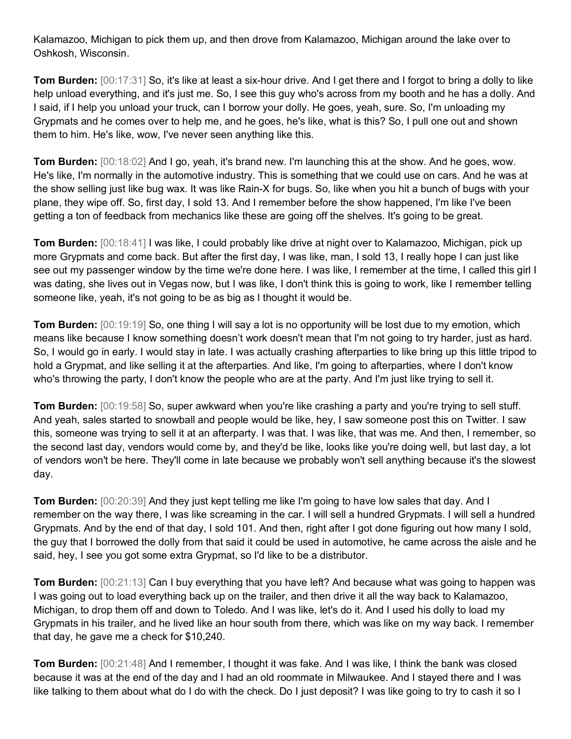Kalamazoo, Michigan to pick them up, and then drove from Kalamazoo, Michigan around the lake over to Oshkosh, Wisconsin.

**Tom Burden:** [00:17:31] So, it's like at least a six-hour drive. And I get there and I forgot to bring a dolly to like help unload everything, and it's just me. So, I see this guy who's across from my booth and he has a dolly. And I said, if I help you unload your truck, can I borrow your dolly. He goes, yeah, sure. So, I'm unloading my Grypmats and he comes over to help me, and he goes, he's like, what is this? So, I pull one out and shown them to him. He's like, wow, I've never seen anything like this.

**Tom Burden:** [00:18:02] And I go, yeah, it's brand new. I'm launching this at the show. And he goes, wow. He's like, I'm normally in the automotive industry. This is something that we could use on cars. And he was at the show selling just like bug wax. It was like Rain-X for bugs. So, like when you hit a bunch of bugs with your plane, they wipe off. So, first day, I sold 13. And I remember before the show happened, I'm like I've been getting a ton of feedback from mechanics like these are going off the shelves. It's going to be great.

**Tom Burden:** [00:18:41] I was like, I could probably like drive at night over to Kalamazoo, Michigan, pick up more Grypmats and come back. But after the first day, I was like, man, I sold 13, I really hope I can just like see out my passenger window by the time we're done here. I was like, I remember at the time, I called this girl I was dating, she lives out in Vegas now, but I was like, I don't think this is going to work, like I remember telling someone like, yeah, it's not going to be as big as I thought it would be.

**Tom Burden:** [00:19:19] So, one thing I will say a lot is no opportunity will be lost due to my emotion, which means like because I know something doesn't work doesn't mean that I'm not going to try harder, just as hard. So, I would go in early. I would stay in late. I was actually crashing afterparties to like bring up this little tripod to hold a Grypmat, and like selling it at the afterparties. And like, I'm going to afterparties, where I don't know who's throwing the party, I don't know the people who are at the party. And I'm just like trying to sell it.

**Tom Burden:** [00:19:58] So, super awkward when you're like crashing a party and you're trying to sell stuff. And yeah, sales started to snowball and people would be like, hey, I saw someone post this on Twitter. I saw this, someone was trying to sell it at an afterparty. I was that. I was like, that was me. And then, I remember, so the second last day, vendors would come by, and they'd be like, looks like you're doing well, but last day, a lot of vendors won't be here. They'll come in late because we probably won't sell anything because it's the slowest day.

**Tom Burden:** [00:20:39] And they just kept telling me like I'm going to have low sales that day. And I remember on the way there, I was like screaming in the car. I will sell a hundred Grypmats. I will sell a hundred Grypmats. And by the end of that day, I sold 101. And then, right after I got done figuring out how many I sold, the guy that I borrowed the dolly from that said it could be used in automotive, he came across the aisle and he said, hey, I see you got some extra Grypmat, so I'd like to be a distributor.

**Tom Burden:** [00:21:13] Can I buy everything that you have left? And because what was going to happen was I was going out to load everything back up on the trailer, and then drive it all the way back to Kalamazoo, Michigan, to drop them off and down to Toledo. And I was like, let's do it. And I used his dolly to load my Grypmats in his trailer, and he lived like an hour south from there, which was like on my way back. I remember that day, he gave me a check for \$10,240.

**Tom Burden:** [00:21:48] And I remember, I thought it was fake. And I was like, I think the bank was closed because it was at the end of the day and I had an old roommate in Milwaukee. And I stayed there and I was like talking to them about what do I do with the check. Do I just deposit? I was like going to try to cash it so I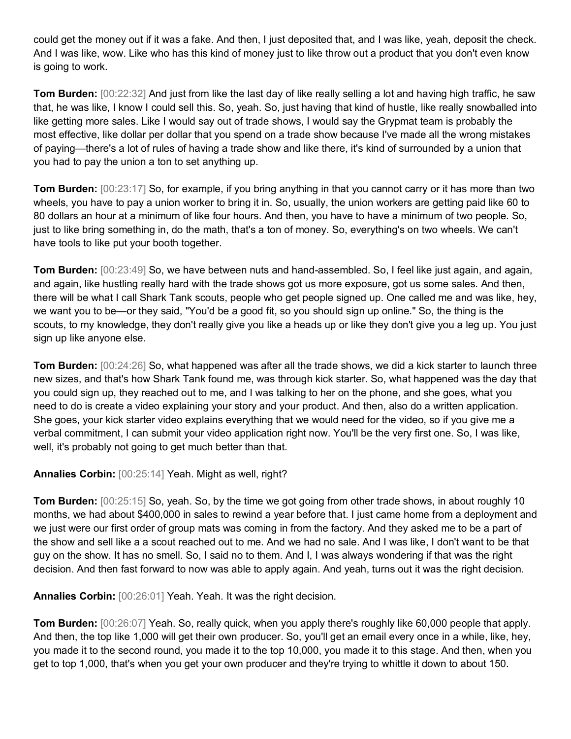could get the money out if it was a fake. And then, I just deposited that, and I was like, yeah, deposit the check. And I was like, wow. Like who has this kind of money just to like throw out a product that you don't even know is going to work.

**Tom Burden:** [00:22:32] And just from like the last day of like really selling a lot and having high traffic, he saw that, he was like, I know I could sell this. So, yeah. So, just having that kind of hustle, like really snowballed into like getting more sales. Like I would say out of trade shows, I would say the Grypmat team is probably the most effective, like dollar per dollar that you spend on a trade show because I've made all the wrong mistakes of paying—there's a lot of rules of having a trade show and like there, it's kind of surrounded by a union that you had to pay the union a ton to set anything up.

**Tom Burden:** [00:23:17] So, for example, if you bring anything in that you cannot carry or it has more than two wheels, you have to pay a union worker to bring it in. So, usually, the union workers are getting paid like 60 to 80 dollars an hour at a minimum of like four hours. And then, you have to have a minimum of two people. So, just to like bring something in, do the math, that's a ton of money. So, everything's on two wheels. We can't have tools to like put your booth together.

**Tom Burden:** [00:23:49] So, we have between nuts and hand-assembled. So, I feel like just again, and again, and again, like hustling really hard with the trade shows got us more exposure, got us some sales. And then, there will be what I call Shark Tank scouts, people who get people signed up. One called me and was like, hey, we want you to be—or they said, "You'd be a good fit, so you should sign up online." So, the thing is the scouts, to my knowledge, they don't really give you like a heads up or like they don't give you a leg up. You just sign up like anyone else.

**Tom Burden:** [00:24:26] So, what happened was after all the trade shows, we did a kick starter to launch three new sizes, and that's how Shark Tank found me, was through kick starter. So, what happened was the day that you could sign up, they reached out to me, and I was talking to her on the phone, and she goes, what you need to do is create a video explaining your story and your product. And then, also do a written application. She goes, your kick starter video explains everything that we would need for the video, so if you give me a verbal commitment, I can submit your video application right now. You'll be the very first one. So, I was like, well, it's probably not going to get much better than that.

**Annalies Corbin:** [00:25:14] Yeah. Might as well, right?

**Tom Burden:** [00:25:15] So, yeah. So, by the time we got going from other trade shows, in about roughly 10 months, we had about \$400,000 in sales to rewind a year before that. I just came home from a deployment and we just were our first order of group mats was coming in from the factory. And they asked me to be a part of the show and sell like a a scout reached out to me. And we had no sale. And I was like, I don't want to be that guy on the show. It has no smell. So, I said no to them. And I, I was always wondering if that was the right decision. And then fast forward to now was able to apply again. And yeah, turns out it was the right decision.

**Annalies Corbin:** [00:26:01] Yeah. Yeah. It was the right decision.

**Tom Burden:** [00:26:07] Yeah. So, really quick, when you apply there's roughly like 60,000 people that apply. And then, the top like 1,000 will get their own producer. So, you'll get an email every once in a while, like, hey, you made it to the second round, you made it to the top 10,000, you made it to this stage. And then, when you get to top 1,000, that's when you get your own producer and they're trying to whittle it down to about 150.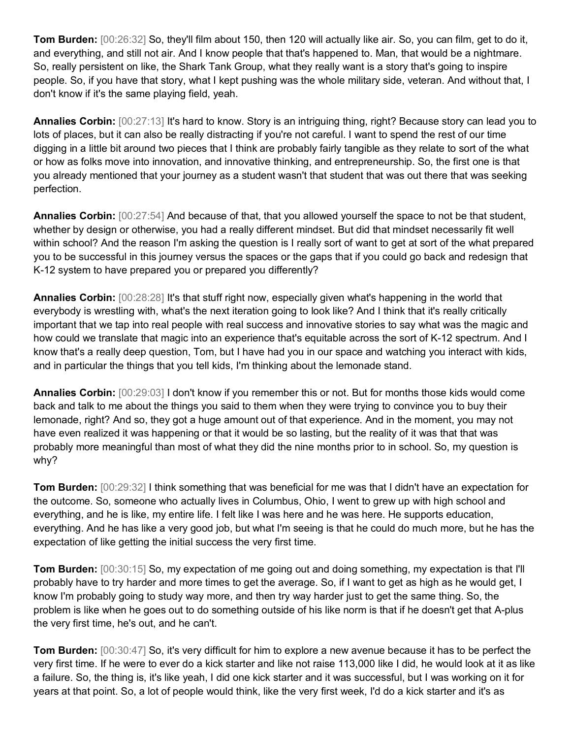**Tom Burden:** [00:26:32] So, they'll film about 150, then 120 will actually like air. So, you can film, get to do it, and everything, and still not air. And I know people that that's happened to. Man, that would be a nightmare. So, really persistent on like, the Shark Tank Group, what they really want is a story that's going to inspire people. So, if you have that story, what I kept pushing was the whole military side, veteran. And without that, I don't know if it's the same playing field, yeah.

**Annalies Corbin:** [00:27:13] It's hard to know. Story is an intriguing thing, right? Because story can lead you to lots of places, but it can also be really distracting if you're not careful. I want to spend the rest of our time digging in a little bit around two pieces that I think are probably fairly tangible as they relate to sort of the what or how as folks move into innovation, and innovative thinking, and entrepreneurship. So, the first one is that you already mentioned that your journey as a student wasn't that student that was out there that was seeking perfection.

**Annalies Corbin:** [00:27:54] And because of that, that you allowed yourself the space to not be that student, whether by design or otherwise, you had a really different mindset. But did that mindset necessarily fit well within school? And the reason I'm asking the question is I really sort of want to get at sort of the what prepared you to be successful in this journey versus the spaces or the gaps that if you could go back and redesign that K-12 system to have prepared you or prepared you differently?

**Annalies Corbin:** [00:28:28] It's that stuff right now, especially given what's happening in the world that everybody is wrestling with, what's the next iteration going to look like? And I think that it's really critically important that we tap into real people with real success and innovative stories to say what was the magic and how could we translate that magic into an experience that's equitable across the sort of K-12 spectrum. And I know that's a really deep question, Tom, but I have had you in our space and watching you interact with kids, and in particular the things that you tell kids, I'm thinking about the lemonade stand.

**Annalies Corbin:** [00:29:03] I don't know if you remember this or not. But for months those kids would come back and talk to me about the things you said to them when they were trying to convince you to buy their lemonade, right? And so, they got a huge amount out of that experience. And in the moment, you may not have even realized it was happening or that it would be so lasting, but the reality of it was that that was probably more meaningful than most of what they did the nine months prior to in school. So, my question is why?

**Tom Burden:** [00:29:32] I think something that was beneficial for me was that I didn't have an expectation for the outcome. So, someone who actually lives in Columbus, Ohio, I went to grew up with high school and everything, and he is like, my entire life. I felt like I was here and he was here. He supports education, everything. And he has like a very good job, but what I'm seeing is that he could do much more, but he has the expectation of like getting the initial success the very first time.

**Tom Burden:**  $[00:30:15]$  So, my expectation of me going out and doing something, my expectation is that I'll probably have to try harder and more times to get the average. So, if I want to get as high as he would get, I know I'm probably going to study way more, and then try way harder just to get the same thing. So, the problem is like when he goes out to do something outside of his like norm is that if he doesn't get that A-plus the very first time, he's out, and he can't.

**Tom Burden:** [00:30:47] So, it's very difficult for him to explore a new avenue because it has to be perfect the very first time. If he were to ever do a kick starter and like not raise 113,000 like I did, he would look at it as like a failure. So, the thing is, it's like yeah, I did one kick starter and it was successful, but I was working on it for years at that point. So, a lot of people would think, like the very first week, I'd do a kick starter and it's as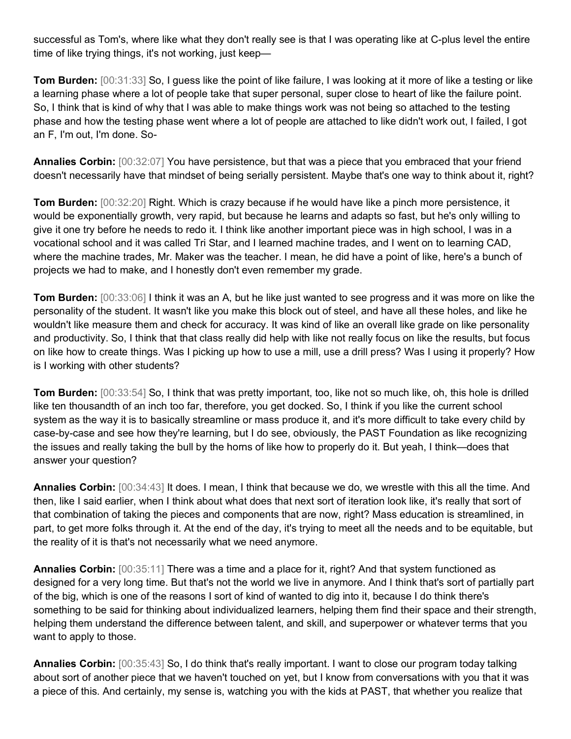successful as Tom's, where like what they don't really see is that I was operating like at C-plus level the entire time of like trying things, it's not working, just keep—

**Tom Burden:** [00:31:33] So, I guess like the point of like failure, I was looking at it more of like a testing or like a learning phase where a lot of people take that super personal, super close to heart of like the failure point. So, I think that is kind of why that I was able to make things work was not being so attached to the testing phase and how the testing phase went where a lot of people are attached to like didn't work out, I failed, I got an F, I'm out, I'm done. So-

**Annalies Corbin:** [00:32:07] You have persistence, but that was a piece that you embraced that your friend doesn't necessarily have that mindset of being serially persistent. Maybe that's one way to think about it, right?

**Tom Burden:** [00:32:20] Right. Which is crazy because if he would have like a pinch more persistence, it would be exponentially growth, very rapid, but because he learns and adapts so fast, but he's only willing to give it one try before he needs to redo it. I think like another important piece was in high school, I was in a vocational school and it was called Tri Star, and I learned machine trades, and I went on to learning CAD, where the machine trades, Mr. Maker was the teacher. I mean, he did have a point of like, here's a bunch of projects we had to make, and I honestly don't even remember my grade.

**Tom Burden:** [00:33:06] I think it was an A, but he like just wanted to see progress and it was more on like the personality of the student. It wasn't like you make this block out of steel, and have all these holes, and like he wouldn't like measure them and check for accuracy. It was kind of like an overall like grade on like personality and productivity. So, I think that that class really did help with like not really focus on like the results, but focus on like how to create things. Was I picking up how to use a mill, use a drill press? Was I using it properly? How is I working with other students?

**Tom Burden:** [00:33:54] So, I think that was pretty important, too, like not so much like, oh, this hole is drilled like ten thousandth of an inch too far, therefore, you get docked. So, I think if you like the current school system as the way it is to basically streamline or mass produce it, and it's more difficult to take every child by case-by-case and see how they're learning, but I do see, obviously, the PAST Foundation as like recognizing the issues and really taking the bull by the horns of like how to properly do it. But yeah, I think—does that answer your question?

**Annalies Corbin:** [00:34:43] It does. I mean, I think that because we do, we wrestle with this all the time. And then, like I said earlier, when I think about what does that next sort of iteration look like, it's really that sort of that combination of taking the pieces and components that are now, right? Mass education is streamlined, in part, to get more folks through it. At the end of the day, it's trying to meet all the needs and to be equitable, but the reality of it is that's not necessarily what we need anymore.

**Annalies Corbin:** [00:35:11] There was a time and a place for it, right? And that system functioned as designed for a very long time. But that's not the world we live in anymore. And I think that's sort of partially part of the big, which is one of the reasons I sort of kind of wanted to dig into it, because I do think there's something to be said for thinking about individualized learners, helping them find their space and their strength, helping them understand the difference between talent, and skill, and superpower or whatever terms that you want to apply to those.

**Annalies Corbin:** [00:35:43] So, I do think that's really important. I want to close our program today talking about sort of another piece that we haven't touched on yet, but I know from conversations with you that it was a piece of this. And certainly, my sense is, watching you with the kids at PAST, that whether you realize that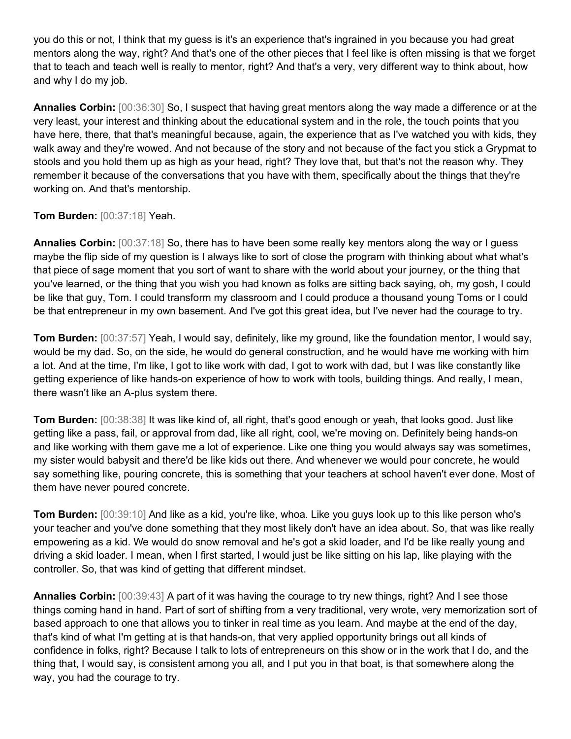you do this or not, I think that my guess is it's an experience that's ingrained in you because you had great mentors along the way, right? And that's one of the other pieces that I feel like is often missing is that we forget that to teach and teach well is really to mentor, right? And that's a very, very different way to think about, how and why I do my job.

**Annalies Corbin:** [00:36:30] So, I suspect that having great mentors along the way made a difference or at the very least, your interest and thinking about the educational system and in the role, the touch points that you have here, there, that that's meaningful because, again, the experience that as I've watched you with kids, they walk away and they're wowed. And not because of the story and not because of the fact you stick a Grypmat to stools and you hold them up as high as your head, right? They love that, but that's not the reason why. They remember it because of the conversations that you have with them, specifically about the things that they're working on. And that's mentorship.

**Tom Burden:** [00:37:18] Yeah.

**Annalies Corbin:** [00:37:18] So, there has to have been some really key mentors along the way or I guess maybe the flip side of my question is I always like to sort of close the program with thinking about what what's that piece of sage moment that you sort of want to share with the world about your journey, or the thing that you've learned, or the thing that you wish you had known as folks are sitting back saying, oh, my gosh, I could be like that guy, Tom. I could transform my classroom and I could produce a thousand young Toms or I could be that entrepreneur in my own basement. And I've got this great idea, but I've never had the courage to try.

**Tom Burden:** [00:37:57] Yeah, I would say, definitely, like my ground, like the foundation mentor, I would say, would be my dad. So, on the side, he would do general construction, and he would have me working with him a lot. And at the time, I'm like, I got to like work with dad, I got to work with dad, but I was like constantly like getting experience of like hands-on experience of how to work with tools, building things. And really, I mean, there wasn't like an A-plus system there.

**Tom Burden:** [00:38:38] It was like kind of, all right, that's good enough or yeah, that looks good. Just like getting like a pass, fail, or approval from dad, like all right, cool, we're moving on. Definitely being hands-on and like working with them gave me a lot of experience. Like one thing you would always say was sometimes, my sister would babysit and there'd be like kids out there. And whenever we would pour concrete, he would say something like, pouring concrete, this is something that your teachers at school haven't ever done. Most of them have never poured concrete.

**Tom Burden:** [00:39:10] And like as a kid, you're like, whoa. Like you guys look up to this like person who's your teacher and you've done something that they most likely don't have an idea about. So, that was like really empowering as a kid. We would do snow removal and he's got a skid loader, and I'd be like really young and driving a skid loader. I mean, when I first started, I would just be like sitting on his lap, like playing with the controller. So, that was kind of getting that different mindset.

**Annalies Corbin:** [00:39:43] A part of it was having the courage to try new things, right? And I see those things coming hand in hand. Part of sort of shifting from a very traditional, very wrote, very memorization sort of based approach to one that allows you to tinker in real time as you learn. And maybe at the end of the day, that's kind of what I'm getting at is that hands-on, that very applied opportunity brings out all kinds of confidence in folks, right? Because I talk to lots of entrepreneurs on this show or in the work that I do, and the thing that, I would say, is consistent among you all, and I put you in that boat, is that somewhere along the way, you had the courage to try.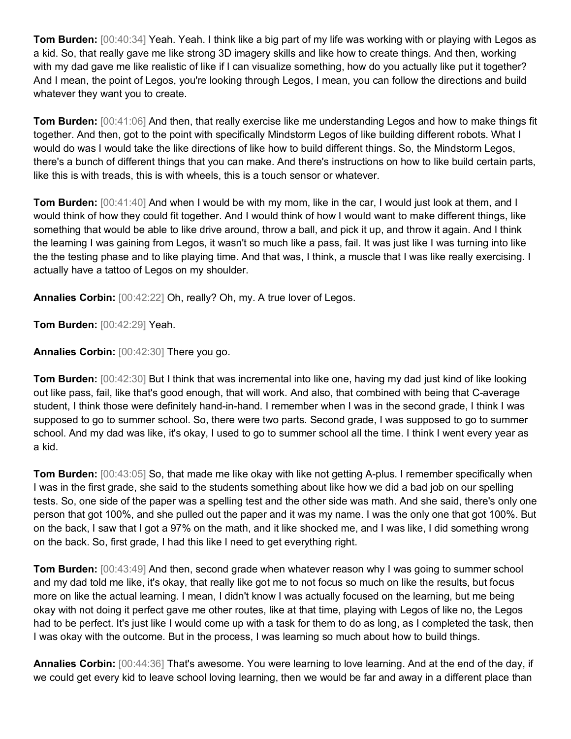**Tom Burden:** [00:40:34] Yeah. Yeah. I think like a big part of my life was working with or playing with Legos as a kid. So, that really gave me like strong 3D imagery skills and like how to create things. And then, working with my dad gave me like realistic of like if I can visualize something, how do you actually like put it together? And I mean, the point of Legos, you're looking through Legos, I mean, you can follow the directions and build whatever they want you to create.

**Tom Burden:** [00:41:06] And then, that really exercise like me understanding Legos and how to make things fit together. And then, got to the point with specifically Mindstorm Legos of like building different robots. What I would do was I would take the like directions of like how to build different things. So, the Mindstorm Legos, there's a bunch of different things that you can make. And there's instructions on how to like build certain parts, like this is with treads, this is with wheels, this is a touch sensor or whatever.

**Tom Burden:** [00:41:40] And when I would be with my mom, like in the car, I would just look at them, and I would think of how they could fit together. And I would think of how I would want to make different things, like something that would be able to like drive around, throw a ball, and pick it up, and throw it again. And I think the learning I was gaining from Legos, it wasn't so much like a pass, fail. It was just like I was turning into like the the testing phase and to like playing time. And that was, I think, a muscle that I was like really exercising. I actually have a tattoo of Legos on my shoulder.

**Annalies Corbin:** [00:42:22] Oh, really? Oh, my. A true lover of Legos.

**Tom Burden:** [00:42:29] Yeah.

**Annalies Corbin:** [00:42:30] There you go.

**Tom Burden:** [00:42:30] But I think that was incremental into like one, having my dad just kind of like looking out like pass, fail, like that's good enough, that will work. And also, that combined with being that C-average student, I think those were definitely hand-in-hand. I remember when I was in the second grade, I think I was supposed to go to summer school. So, there were two parts. Second grade, I was supposed to go to summer school. And my dad was like, it's okay, I used to go to summer school all the time. I think I went every year as a kid.

**Tom Burden:** [00:43:05] So, that made me like okay with like not getting A-plus. I remember specifically when I was in the first grade, she said to the students something about like how we did a bad job on our spelling tests. So, one side of the paper was a spelling test and the other side was math. And she said, there's only one person that got 100%, and she pulled out the paper and it was my name. I was the only one that got 100%. But on the back, I saw that I got a 97% on the math, and it like shocked me, and I was like, I did something wrong on the back. So, first grade, I had this like I need to get everything right.

**Tom Burden:** [00:43:49] And then, second grade when whatever reason why I was going to summer school and my dad told me like, it's okay, that really like got me to not focus so much on like the results, but focus more on like the actual learning. I mean, I didn't know I was actually focused on the learning, but me being okay with not doing it perfect gave me other routes, like at that time, playing with Legos of like no, the Legos had to be perfect. It's just like I would come up with a task for them to do as long, as I completed the task, then I was okay with the outcome. But in the process, I was learning so much about how to build things.

**Annalies Corbin:** [00:44:36] That's awesome. You were learning to love learning. And at the end of the day, if we could get every kid to leave school loving learning, then we would be far and away in a different place than